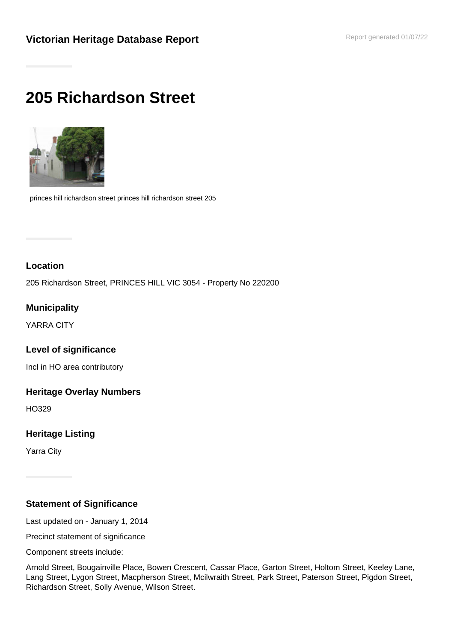# **205 Richardson Street**



princes hill richardson street princes hill richardson street 205

# **Location**

205 Richardson Street, PRINCES HILL VIC 3054 - Property No 220200

# **Municipality**

YARRA CITY

## **Level of significance**

Incl in HO area contributory

#### **Heritage Overlay Numbers**

HO329

## **Heritage Listing**

Yarra City

## **Statement of Significance**

Last updated on - January 1, 2014

Precinct statement of significance

Component streets include:

Arnold Street, Bougainville Place, Bowen Crescent, Cassar Place, Garton Street, Holtom Street, Keeley Lane, Lang Street, Lygon Street, Macpherson Street, Mcilwraith Street, Park Street, Paterson Street, Pigdon Street, Richardson Street, Solly Avenue, Wilson Street.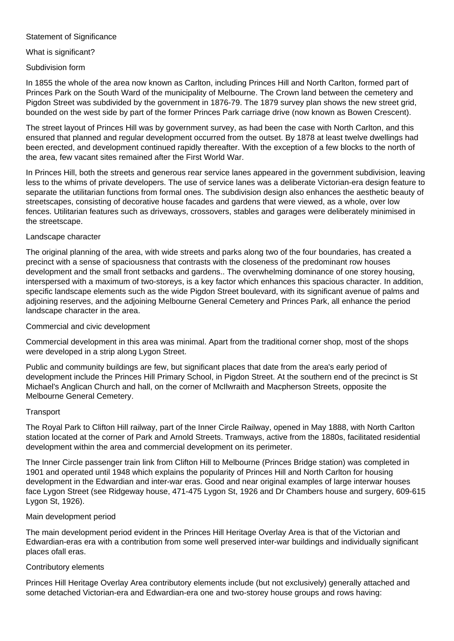#### Statement of Significance

#### What is significant?

#### Subdivision form

In 1855 the whole of the area now known as Carlton, including Princes Hill and North Carlton, formed part of Princes Park on the South Ward of the municipality of Melbourne. The Crown land between the cemetery and Pigdon Street was subdivided by the government in 1876-79. The 1879 survey plan shows the new street grid, bounded on the west side by part of the former Princes Park carriage drive (now known as Bowen Crescent).

The street layout of Princes Hill was by government survey, as had been the case with North Carlton, and this ensured that planned and regular development occurred from the outset. By 1878 at least twelve dwellings had been erected, and development continued rapidly thereafter. With the exception of a few blocks to the north of the area, few vacant sites remained after the First World War.

In Princes Hill, both the streets and generous rear service lanes appeared in the government subdivision, leaving less to the whims of private developers. The use of service lanes was a deliberate Victorian-era design feature to separate the utilitarian functions from formal ones. The subdivision design also enhances the aesthetic beauty of streetscapes, consisting of decorative house facades and gardens that were viewed, as a whole, over low fences. Utilitarian features such as driveways, crossovers, stables and garages were deliberately minimised in the streetscape.

#### Landscape character

The original planning of the area, with wide streets and parks along two of the four boundaries, has created a precinct with a sense of spaciousness that contrasts with the closeness of the predominant row houses development and the small front setbacks and gardens.. The overwhelming dominance of one storey housing, interspersed with a maximum of two-storeys, is a key factor which enhances this spacious character. In addition, specific landscape elements such as the wide Pigdon Street boulevard, with its significant avenue of palms and adjoining reserves, and the adjoining Melbourne General Cemetery and Princes Park, all enhance the period landscape character in the area.

#### Commercial and civic development

Commercial development in this area was minimal. Apart from the traditional corner shop, most of the shops were developed in a strip along Lygon Street.

Public and community buildings are few, but significant places that date from the area's early period of development include the Princes Hill Primary School, in Pigdon Street. At the southern end of the precinct is St Michael's Anglican Church and hall, on the corner of McIlwraith and Macpherson Streets, opposite the Melbourne General Cemetery.

#### **Transport**

The Royal Park to Clifton Hill railway, part of the Inner Circle Railway, opened in May 1888, with North Carlton station located at the corner of Park and Arnold Streets. Tramways, active from the 1880s, facilitated residential development within the area and commercial development on its perimeter.

The Inner Circle passenger train link from Clifton Hill to Melbourne (Princes Bridge station) was completed in 1901 and operated until 1948 which explains the popularity of Princes Hill and North Carlton for housing development in the Edwardian and inter-war eras. Good and near original examples of large interwar houses face Lygon Street (see Ridgeway house, 471-475 Lygon St, 1926 and Dr Chambers house and surgery, 609-615 Lygon St, 1926).

#### Main development period

The main development period evident in the Princes Hill Heritage Overlay Area is that of the Victorian and Edwardian-eras era with a contribution from some well preserved inter-war buildings and individually significant places ofall eras.

#### Contributory elements

Princes Hill Heritage Overlay Area contributory elements include (but not exclusively) generally attached and some detached Victorian-era and Edwardian-era one and two-storey house groups and rows having: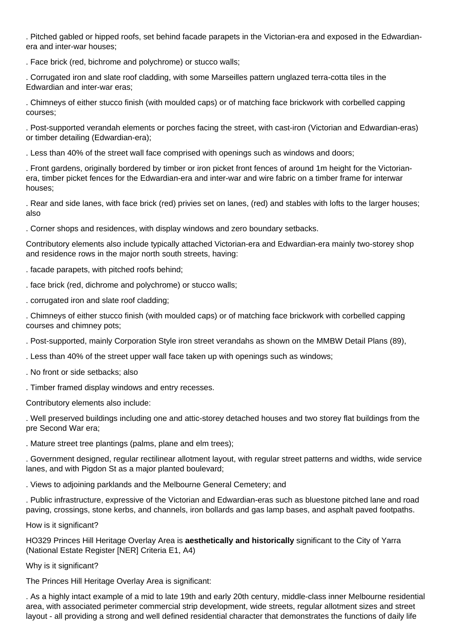. Pitched gabled or hipped roofs, set behind facade parapets in the Victorian-era and exposed in the Edwardianera and inter-war houses;

. Face brick (red, bichrome and polychrome) or stucco walls;

. Corrugated iron and slate roof cladding, with some Marseilles pattern unglazed terra-cotta tiles in the Edwardian and inter-war eras;

. Chimneys of either stucco finish (with moulded caps) or of matching face brickwork with corbelled capping courses;

. Post-supported verandah elements or porches facing the street, with cast-iron (Victorian and Edwardian-eras) or timber detailing (Edwardian-era);

. Less than 40% of the street wall face comprised with openings such as windows and doors;

. Front gardens, originally bordered by timber or iron picket front fences of around 1m height for the Victorianera, timber picket fences for the Edwardian-era and inter-war and wire fabric on a timber frame for interwar houses;

. Rear and side lanes, with face brick (red) privies set on lanes, (red) and stables with lofts to the larger houses; also

. Corner shops and residences, with display windows and zero boundary setbacks.

Contributory elements also include typically attached Victorian-era and Edwardian-era mainly two-storey shop and residence rows in the major north south streets, having:

. facade parapets, with pitched roofs behind;

- . face brick (red, dichrome and polychrome) or stucco walls;
- . corrugated iron and slate roof cladding;

. Chimneys of either stucco finish (with moulded caps) or of matching face brickwork with corbelled capping courses and chimney pots;

. Post-supported, mainly Corporation Style iron street verandahs as shown on the MMBW Detail Plans (89),

. Less than 40% of the street upper wall face taken up with openings such as windows;

. No front or side setbacks; also

. Timber framed display windows and entry recesses.

Contributory elements also include:

. Well preserved buildings including one and attic-storey detached houses and two storey flat buildings from the pre Second War era;

. Mature street tree plantings (palms, plane and elm trees);

. Government designed, regular rectilinear allotment layout, with regular street patterns and widths, wide service lanes, and with Pigdon St as a major planted boulevard;

. Views to adjoining parklands and the Melbourne General Cemetery; and

. Public infrastructure, expressive of the Victorian and Edwardian-eras such as bluestone pitched lane and road paving, crossings, stone kerbs, and channels, iron bollards and gas lamp bases, and asphalt paved footpaths.

How is it significant?

HO329 Princes Hill Heritage Overlay Area is **aesthetically and historically** significant to the City of Yarra (National Estate Register [NER] Criteria E1, A4)

Why is it significant?

The Princes Hill Heritage Overlay Area is significant:

. As a highly intact example of a mid to late 19th and early 20th century, middle-class inner Melbourne residential area, with associated perimeter commercial strip development, wide streets, regular allotment sizes and street layout - all providing a strong and well defined residential character that demonstrates the functions of daily life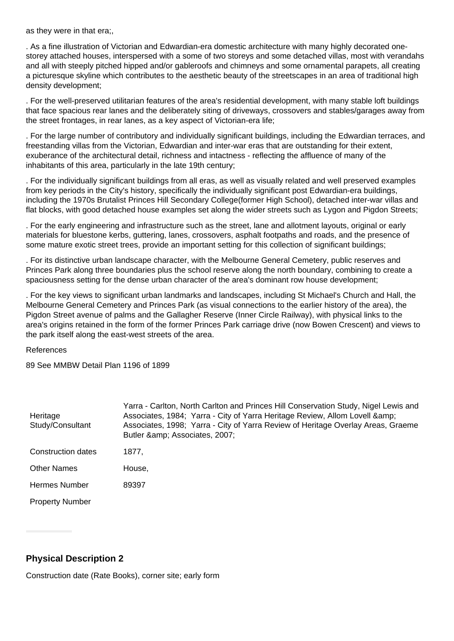as they were in that era;,

. As a fine illustration of Victorian and Edwardian-era domestic architecture with many highly decorated onestorey attached houses, interspersed with a some of two storeys and some detached villas, most with verandahs and all with steeply pitched hipped and/or gableroofs and chimneys and some ornamental parapets, all creating a picturesque skyline which contributes to the aesthetic beauty of the streetscapes in an area of traditional high density development;

. For the well-preserved utilitarian features of the area's residential development, with many stable loft buildings that face spacious rear lanes and the deliberately siting of driveways, crossovers and stables/garages away from the street frontages, in rear lanes, as a key aspect of Victorian-era life;

. For the large number of contributory and individually significant buildings, including the Edwardian terraces, and freestanding villas from the Victorian, Edwardian and inter-war eras that are outstanding for their extent, exuberance of the architectural detail, richness and intactness - reflecting the affluence of many of the inhabitants of this area, particularly in the late 19th century;

. For the individually significant buildings from all eras, as well as visually related and well preserved examples from key periods in the City's history, specifically the individually significant post Edwardian-era buildings, including the 1970s Brutalist Princes Hill Secondary College(former High School), detached inter-war villas and flat blocks, with good detached house examples set along the wider streets such as Lygon and Pigdon Streets;

. For the early engineering and infrastructure such as the street, lane and allotment layouts, original or early materials for bluestone kerbs, guttering, lanes, crossovers, asphalt footpaths and roads, and the presence of some mature exotic street trees, provide an important setting for this collection of significant buildings;

. For its distinctive urban landscape character, with the Melbourne General Cemetery, public reserves and Princes Park along three boundaries plus the school reserve along the north boundary, combining to create a spaciousness setting for the dense urban character of the area's dominant row house development;

. For the key views to significant urban landmarks and landscapes, including St Michael's Church and Hall, the Melbourne General Cemetery and Princes Park (as visual connections to the earlier history of the area), the Pigdon Street avenue of palms and the Gallagher Reserve (Inner Circle Railway), with physical links to the area's origins retained in the form of the former Princes Park carriage drive (now Bowen Crescent) and views to the park itself along the east-west streets of the area.

References

89 See MMBW Detail Plan 1196 of 1899

| Heritage<br>Study/Consultant | Yarra - Carlton, North Carlton and Princes Hill Conservation Study, Nigel Lewis and<br>Associates, 1984; Yarra - City of Yarra Heritage Review, Allom Lovell & amp;<br>Associates, 1998; Yarra - City of Yarra Review of Heritage Overlay Areas, Graeme<br>Butler & Associates, 2007; |
|------------------------------|---------------------------------------------------------------------------------------------------------------------------------------------------------------------------------------------------------------------------------------------------------------------------------------|
| Construction dates           | 1877.                                                                                                                                                                                                                                                                                 |
| <b>Other Names</b>           | House,                                                                                                                                                                                                                                                                                |
| <b>Hermes Number</b>         | 89397                                                                                                                                                                                                                                                                                 |
| <b>Property Number</b>       |                                                                                                                                                                                                                                                                                       |

## **Physical Description 2**

Construction date (Rate Books), corner site; early form